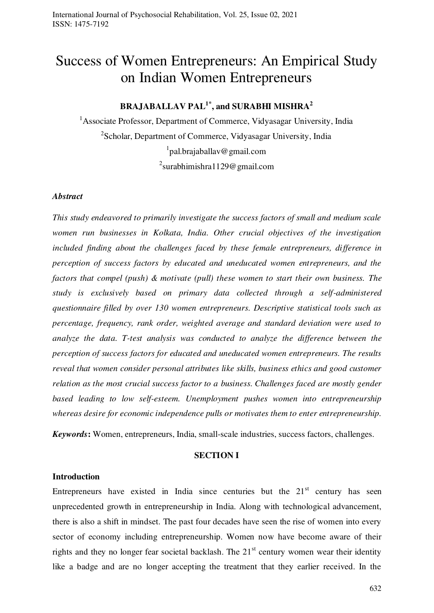# Success of Women Entrepreneurs: An Empirical Study on Indian Women Entrepreneurs

## **BRAJABALLAV PAL1\*, and SURABHI MISHRA<sup>2</sup>**

<sup>1</sup> Associate Professor, Department of Commerce, Vidyasagar University, India <sup>2</sup>Scholar, Department of Commerce, Vidyasagar University, India 1 pal.brajaballav@gmail.com <sup>2</sup>surabhimishra1129@gmail.com

#### *Abstract*

*This study endeavored to primarily investigate the success factors of small and medium scale women run businesses in Kolkata, India. Other crucial objectives of the investigation included finding about the challenges faced by these female entrepreneurs, difference in perception of success factors by educated and uneducated women entrepreneurs, and the factors that compel (push) & motivate (pull) these women to start their own business. The study is exclusively based on primary data collected through a self-administered questionnaire filled by over 130 women entrepreneurs. Descriptive statistical tools such as percentage, frequency, rank order, weighted average and standard deviation were used to analyze the data. T-test analysis was conducted to analyze the difference between the perception of success factors for educated and uneducated women entrepreneurs. The results reveal that women consider personal attributes like skills, business ethics and good customer relation as the most crucial success factor to a business. Challenges faced are mostly gender based leading to low self-esteem. Unemployment pushes women into entrepreneurship whereas desire for economic independence pulls or motivates them to enter entrepreneurship.* 

*Keywords***:** Women, entrepreneurs, India, small-scale industries, success factors, challenges.

#### **SECTION I**

#### **Introduction**

Entrepreneurs have existed in India since centuries but the  $21<sup>st</sup>$  century has seen unprecedented growth in entrepreneurship in India. Along with technological advancement, there is also a shift in mindset. The past four decades have seen the rise of women into every sector of economy including entrepreneurship. Women now have become aware of their rights and they no longer fear societal backlash. The  $21<sup>st</sup>$  century women wear their identity like a badge and are no longer accepting the treatment that they earlier received. In the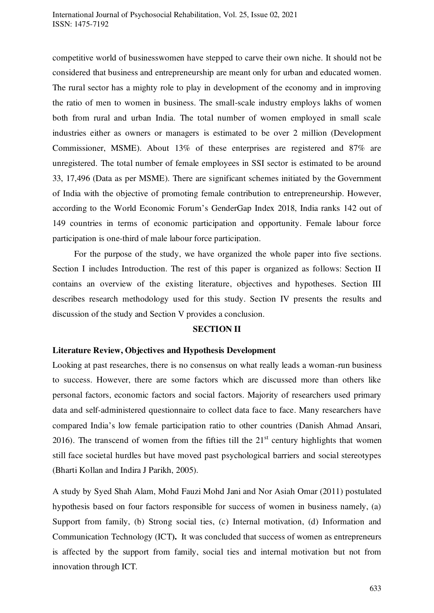competitive world of businesswomen have stepped to carve their own niche. It should not be considered that business and entrepreneurship are meant only for urban and educated women. The rural sector has a mighty role to play in development of the economy and in improving the ratio of men to women in business. The small-scale industry employs lakhs of women both from rural and urban India. The total number of women employed in small scale industries either as owners or managers is estimated to be over 2 million (Development Commissioner, MSME). About 13% of these enterprises are registered and 87% are unregistered. The total number of female employees in SSI sector is estimated to be around 33, 17,496 (Data as per MSME). There are significant schemes initiated by the Government of India with the objective of promoting female contribution to entrepreneurship. However, according to the World Economic Forum's GenderGap Index 2018, India ranks 142 out of 149 countries in terms of economic participation and opportunity. Female labour force participation is one-third of male labour force participation.

 For the purpose of the study, we have organized the whole paper into five sections. Section I includes Introduction. The rest of this paper is organized as follows: Section II contains an overview of the existing literature, objectives and hypotheses. Section III describes research methodology used for this study. Section IV presents the results and discussion of the study and Section V provides a conclusion.

#### **SECTION II**

#### **Literature Review, Objectives and Hypothesis Development**

Looking at past researches, there is no consensus on what really leads a woman-run business to success. However, there are some factors which are discussed more than others like personal factors, economic factors and social factors. Majority of researchers used primary data and self-administered questionnaire to collect data face to face. Many researchers have compared India's low female participation ratio to other countries (Danish Ahmad Ansari, 2016). The transcend of women from the fifties till the  $21<sup>st</sup>$  century highlights that women still face societal hurdles but have moved past psychological barriers and social stereotypes (Bharti Kollan and Indira J Parikh, 2005).

A study by Syed Shah Alam, Mohd Fauzi Mohd Jani and Nor Asiah Omar (2011) postulated hypothesis based on four factors responsible for success of women in business namely, (a) Support from family, (b) Strong social ties, (c) Internal motivation, (d) Information and Communication Technology (ICT**).** It was concluded that success of women as entrepreneurs is affected by the support from family, social ties and internal motivation but not from innovation through ICT.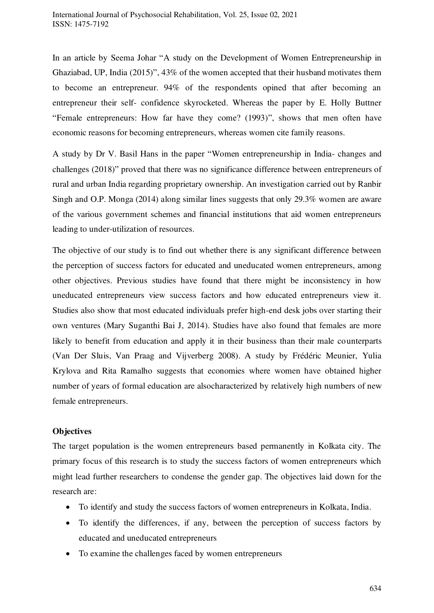In an article by Seema Johar "A study on the Development of Women Entrepreneurship in Ghaziabad, UP, India (2015)", 43% of the women accepted that their husband motivates them to become an entrepreneur. 94% of the respondents opined that after becoming an entrepreneur their self- confidence skyrocketed. Whereas the paper by E. Holly Buttner "Female entrepreneurs: How far have they come? (1993)", shows that men often have economic reasons for becoming entrepreneurs, whereas women cite family reasons.

A study by Dr V. Basil Hans in the paper "Women entrepreneurship in India- changes and challenges (2018)" proved that there was no significance difference between entrepreneurs of rural and urban India regarding proprietary ownership. An investigation carried out by Ranbir Singh and O.P. Monga (2014) along similar lines suggests that only 29.3% women are aware of the various government schemes and financial institutions that aid women entrepreneurs leading to under-utilization of resources.

The objective of our study is to find out whether there is any significant difference between the perception of success factors for educated and uneducated women entrepreneurs, among other objectives. Previous studies have found that there might be inconsistency in how uneducated entrepreneurs view success factors and how educated entrepreneurs view it. Studies also show that most educated individuals prefer high-end desk jobs over starting their own ventures (Mary Suganthi Bai J, 2014). Studies have also found that females are more likely to benefit from education and apply it in their business than their male counterparts (Van Der Sluis, Van Praag and Vijverberg 2008). A study by Frédéric Meunier, Yulia Krylova and Rita Ramalho suggests that economies where women have obtained higher number of years of formal education are alsocharacterized by relatively high numbers of new female entrepreneurs.

#### **Objectives**

The target population is the women entrepreneurs based permanently in Kolkata city. The primary focus of this research is to study the success factors of women entrepreneurs which might lead further researchers to condense the gender gap. The objectives laid down for the research are:

- To identify and study the success factors of women entrepreneurs in Kolkata, India.
- To identify the differences, if any, between the perception of success factors by educated and uneducated entrepreneurs
- To examine the challenges faced by women entrepreneurs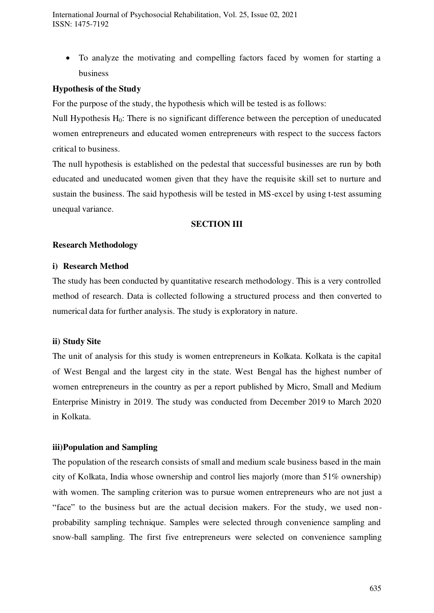To analyze the motivating and compelling factors faced by women for starting a business

#### **Hypothesis of the Study**

For the purpose of the study, the hypothesis which will be tested is as follows:

Null Hypothesis H<sub>0</sub>: There is no significant difference between the perception of uneducated women entrepreneurs and educated women entrepreneurs with respect to the success factors critical to business.

The null hypothesis is established on the pedestal that successful businesses are run by both educated and uneducated women given that they have the requisite skill set to nurture and sustain the business. The said hypothesis will be tested in MS-excel by using t-test assuming unequal variance.

#### **SECTION III**

#### **Research Methodology**

#### **i) Research Method**

The study has been conducted by quantitative research methodology. This is a very controlled method of research. Data is collected following a structured process and then converted to numerical data for further analysis. The study is exploratory in nature.

#### **ii) Study Site**

The unit of analysis for this study is women entrepreneurs in Kolkata. Kolkata is the capital of West Bengal and the largest city in the state. West Bengal has the highest number of women entrepreneurs in the country as per a report published by Micro, Small and Medium Enterprise Ministry in 2019. The study was conducted from December 2019 to March 2020 in Kolkata.

#### **iii)Population and Sampling**

The population of the research consists of small and medium scale business based in the main city of Kolkata, India whose ownership and control lies majorly (more than 51% ownership) with women. The sampling criterion was to pursue women entrepreneurs who are not just a "face" to the business but are the actual decision makers. For the study, we used nonprobability sampling technique. Samples were selected through convenience sampling and snow-ball sampling. The first five entrepreneurs were selected on convenience sampling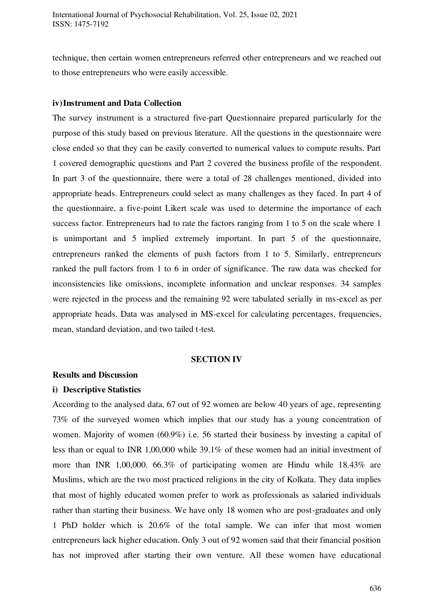technique, then certain women entrepreneurs referred other entrepreneurs and we reached out to those entrepreneurs who were easily accessible.

#### **iv)Instrument and Data Collection**

The survey instrument is a structured five-part Questionnaire prepared particularly for the purpose of this study based on previous literature. All the questions in the questionnaire were close ended so that they can be easily converted to numerical values to compute results. Part 1 covered demographic questions and Part 2 covered the business profile of the respondent. In part 3 of the questionnaire, there were a total of 28 challenges mentioned, divided into appropriate heads. Entrepreneurs could select as many challenges as they faced. In part 4 of the questionnaire, a five-point Likert scale was used to determine the importance of each success factor. Entrepreneurs had to rate the factors ranging from 1 to 5 on the scale where 1 is unimportant and 5 implied extremely important. In part 5 of the questionnaire, entrepreneurs ranked the elements of push factors from 1 to 5. Similarly, entrepreneurs ranked the pull factors from 1 to 6 in order of significance. The raw data was checked for inconsistencies like omissions, incomplete information and unclear responses. 34 samples were rejected in the process and the remaining 92 were tabulated serially in ms-excel as per appropriate heads. Data was analysed in MS-excel for calculating percentages, frequencies, mean, standard deviation, and two tailed t-test.

#### **SECTION IV**

#### **Results and Discussion**

#### **i) Descriptive Statistics**

According to the analysed data, 67 out of 92 women are below 40 years of age, representing 73% of the surveyed women which implies that our study has a young concentration of women. Majority of women (60.9%) i.e. 56 started their business by investing a capital of less than or equal to INR 1,00,000 while 39.1% of these women had an initial investment of more than INR 1,00,000. 66.3% of participating women are Hindu while 18.43% are Muslims, which are the two most practiced religions in the city of Kolkata. They data implies that most of highly educated women prefer to work as professionals as salaried individuals rather than starting their business. We have only 18 women who are post-graduates and only 1 PhD holder which is 20.6% of the total sample. We can infer that most women entrepreneurs lack higher education. Only 3 out of 92 women said that their financial position has not improved after starting their own venture. All these women have educational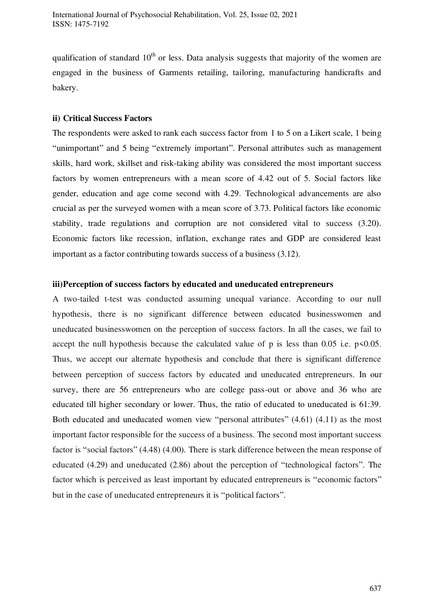qualification of standard  $10<sup>th</sup>$  or less. Data analysis suggests that majority of the women are engaged in the business of Garments retailing, tailoring, manufacturing handicrafts and bakery.

#### **ii) Critical Success Factors**

The respondents were asked to rank each success factor from 1 to 5 on a Likert scale, 1 being "unimportant" and 5 being "extremely important". Personal attributes such as management skills, hard work, skillset and risk-taking ability was considered the most important success factors by women entrepreneurs with a mean score of 4.42 out of 5. Social factors like gender, education and age come second with 4.29. Technological advancements are also crucial as per the surveyed women with a mean score of 3.73. Political factors like economic stability, trade regulations and corruption are not considered vital to success (3.20). Economic factors like recession, inflation, exchange rates and GDP are considered least important as a factor contributing towards success of a business (3.12).

#### **iii)Perception of success factors by educated and uneducated entrepreneurs**

A two-tailed t-test was conducted assuming unequal variance. According to our null hypothesis, there is no significant difference between educated businesswomen and uneducated businesswomen on the perception of success factors. In all the cases, we fail to accept the null hypothesis because the calculated value of p is less than  $0.05$  i.e.  $p \le 0.05$ . Thus, we accept our alternate hypothesis and conclude that there is significant difference between perception of success factors by educated and uneducated entrepreneurs. In our survey, there are 56 entrepreneurs who are college pass-out or above and 36 who are educated till higher secondary or lower. Thus, the ratio of educated to uneducated is 61:39. Both educated and uneducated women view "personal attributes" (4.61) (4.11) as the most important factor responsible for the success of a business. The second most important success factor is "social factors" (4.48) (4.00). There is stark difference between the mean response of educated (4.29) and uneducated (2.86) about the perception of "technological factors". The factor which is perceived as least important by educated entrepreneurs is "economic factors" but in the case of uneducated entrepreneurs it is "political factors".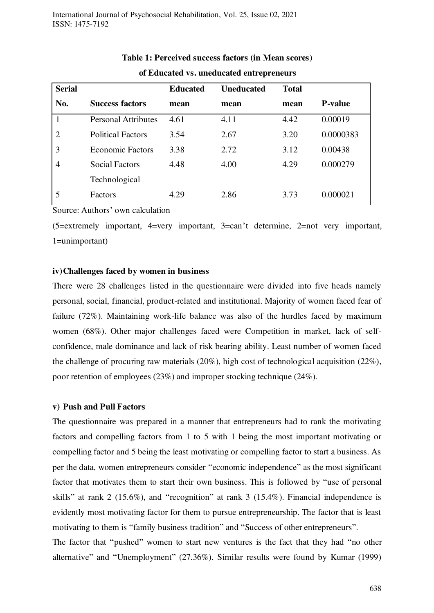| <b>Serial</b>  |                            | <b>Educated</b> | <b>Uneducated</b> | <b>Total</b> |                |
|----------------|----------------------------|-----------------|-------------------|--------------|----------------|
| No.            | <b>Success factors</b>     | mean            | mean              | mean         | <b>P-value</b> |
|                | <b>Personal Attributes</b> | 4.61            | 4.11              | 4.42         | 0.00019        |
| $\overline{2}$ | <b>Political Factors</b>   | 3.54            | 2.67              | 3.20         | 0.0000383      |
| 3              | <b>Economic Factors</b>    | 3.38            | 2.72              | 3.12         | 0.00438        |
| $\overline{4}$ | <b>Social Factors</b>      | 4.48            | 4.00              | 4.29         | 0.000279       |
|                | Technological              |                 |                   |              |                |
| 5              | <b>Factors</b>             | 4.29            | 2.86              | 3.73         | 0.000021       |

### **Table 1: Perceived success factors (in Mean scores) of Educated vs. uneducated entrepreneurs**

Source: Authors' own calculation

(5=extremely important, 4=very important, 3=can't determine, 2=not very important, 1=unimportant)

#### **iv)Challenges faced by women in business**

There were 28 challenges listed in the questionnaire were divided into five heads namely personal, social, financial, product-related and institutional. Majority of women faced fear of failure (72%). Maintaining work-life balance was also of the hurdles faced by maximum women (68%). Other major challenges faced were Competition in market, lack of selfconfidence, male dominance and lack of risk bearing ability. Least number of women faced the challenge of procuring raw materials (20%), high cost of technological acquisition (22%), poor retention of employees (23%) and improper stocking technique (24%).

#### **v) Push and Pull Factors**

The questionnaire was prepared in a manner that entrepreneurs had to rank the motivating factors and compelling factors from 1 to 5 with 1 being the most important motivating or compelling factor and 5 being the least motivating or compelling factor to start a business. As per the data, women entrepreneurs consider "economic independence" as the most significant factor that motivates them to start their own business. This is followed by "use of personal skills" at rank 2 (15.6%), and "recognition" at rank 3 (15.4%). Financial independence is evidently most motivating factor for them to pursue entrepreneurship. The factor that is least motivating to them is "family business tradition" and "Success of other entrepreneurs".

The factor that "pushed" women to start new ventures is the fact that they had "no other alternative" and "Unemployment" (27.36%). Similar results were found by Kumar (1999)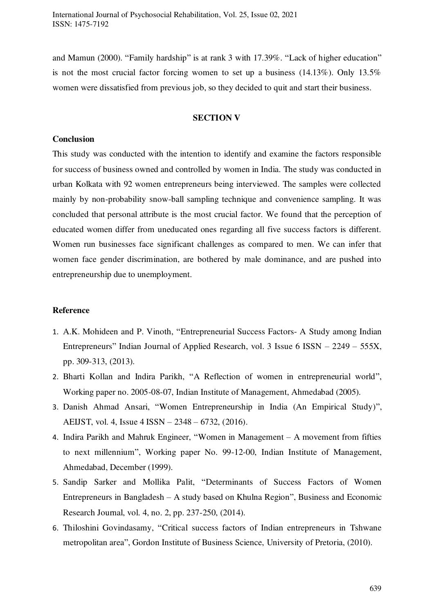and Mamun (2000). "Family hardship" is at rank 3 with 17.39%. "Lack of higher education" is not the most crucial factor forcing women to set up a business (14.13%). Only 13.5% women were dissatisfied from previous job, so they decided to quit and start their business.

#### **SECTION V**

#### **Conclusion**

This study was conducted with the intention to identify and examine the factors responsible for success of business owned and controlled by women in India. The study was conducted in urban Kolkata with 92 women entrepreneurs being interviewed. The samples were collected mainly by non-probability snow-ball sampling technique and convenience sampling. It was concluded that personal attribute is the most crucial factor. We found that the perception of educated women differ from uneducated ones regarding all five success factors is different. Women run businesses face significant challenges as compared to men. We can infer that women face gender discrimination, are bothered by male dominance, and are pushed into entrepreneurship due to unemployment.

#### **Reference**

- 1. A.K. Mohideen and P. Vinoth, "Entrepreneurial Success Factors- A Study among Indian Entrepreneurs" Indian Journal of Applied Research, vol. 3 Issue 6 ISSN – 2249 – 555X, pp. 309-313, (2013).
- 2. Bharti Kollan and Indira Parikh, "A Reflection of women in entrepreneurial world", Working paper no. 2005-08-07, Indian Institute of Management, Ahmedabad (2005).
- 3. Danish Ahmad Ansari, "Women Entrepreneurship in India (An Empirical Study)", AEIJST, vol. 4, Issue 4 ISSN – 2348 – 6732, (2016).
- 4. Indira Parikh and Mahruk Engineer, "Women in Management A movement from fifties to next millennium", Working paper No. 99-12-00, Indian Institute of Management, Ahmedabad, December (1999).
- 5. Sandip Sarker and Mollika Palit, "Determinants of Success Factors of Women Entrepreneurs in Bangladesh – A study based on Khulna Region", Business and Economic Research Journal, vol. 4, no. 2, pp. 237-250, (2014).
- 6. Thiloshini Govindasamy, "Critical success factors of Indian entrepreneurs in Tshwane metropolitan area", Gordon Institute of Business Science, University of Pretoria, (2010).